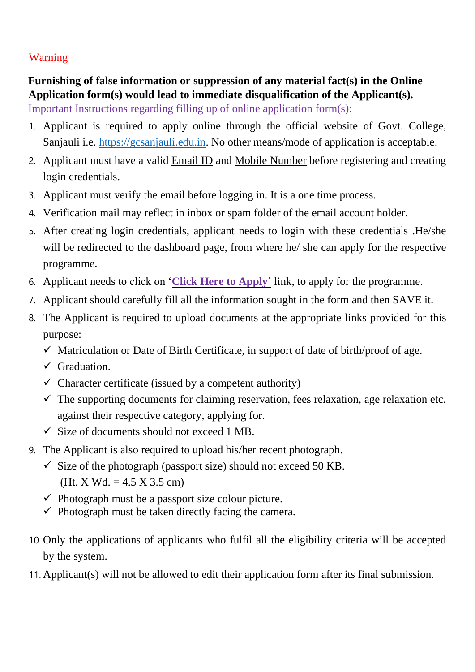## Warning

# **Furnishing of false information or suppression of any material fact(s) in the Online Application form(s) would lead to immediate disqualification of the Applicant(s).**

Important Instructions regarding filling up of online application form(s):

- 1. Applicant is required to apply online through the official website of Govt. College, Sanjauli i.e. [https://gcsanjauli.edu.in](https://gcsanjauli.edu.in/)[.](https://gcsanjauli.com/) No other means/mode of application is acceptable.
- 2. Applicant must have a valid Email ID and Mobile Number before registering and creating login credentials.
- 3. Applicant must verify the email before logging in. It is a one time process.
- 4. Verification mail may reflect in inbox or spam folder of the email account holder.
- 5. After creating login credentials, applicant needs to login with these credentials .He/she will be redirected to the dashboard page, from where he/ she can apply for the respective programme.
- 6. Applicant needs to click on '**Click Here to Apply**' link, to apply for the programme.
- 7. Applicant should carefully fill all the information sought in the form and then SAVE it.
- 8. The Applicant is required to upload documents at the appropriate links provided for this purpose:
	- $\checkmark$  Matriculation or Date of Birth Certificate, in support of date of birth/proof of age.
	- $\checkmark$  Graduation.
	- $\checkmark$  Character certificate (issued by a competent authority)
	- $\checkmark$  The supporting documents for claiming reservation, fees relaxation, age relaxation etc. against their respective category, applying for.
	- $\checkmark$  Size of documents should not exceed 1 MB.
- 9. The Applicant is also required to upload his/her recent photograph.
	- $\checkmark$  Size of the photograph (passport size) should not exceed 50 KB. (Ht. X Wd. =  $4.5$  X 3.5 cm)
	- $\checkmark$  Photograph must be a passport size colour picture.
	- $\checkmark$  Photograph must be taken directly facing the camera.
- 10. Only the applications of applicants who fulfil all the eligibility criteria will be accepted by the system.
- 11. Applicant(s) will not be allowed to edit their application form after its final submission.